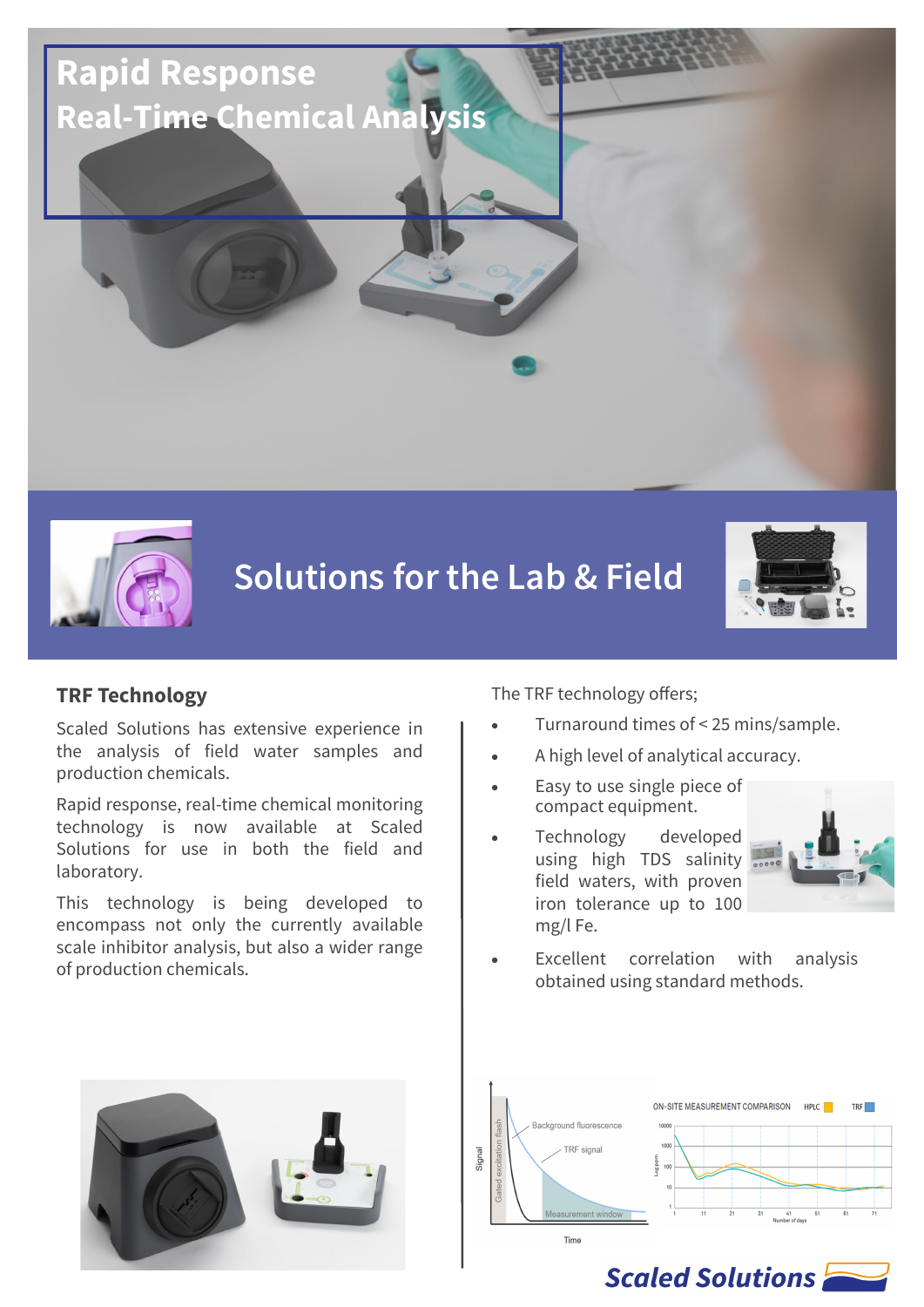



# **Solutions for the Lab & Field**



#### **TRF Technology**

Scaled Solutions has extensive experience in the analysis of field water samples and production chemicals.

Rapid response, real-time chemical monitoring technology is now available at Scaled Solutions for use in both the field and laboratory.

This technology is being developed to encompass not only the currently available scale inhibitor analysis, but also a wider range of production chemicals.

The TRF technology offers;

- Turnaround times of < 25 mins/sample.
- A high level of analytical accuracy.
- Easy to use single piece of compact equipment.
- Technology developed using high TDS salinity field waters, with proven iron tolerance up to 100 mg/l Fe.



Excellent correlation with analysis obtained using standard methods.